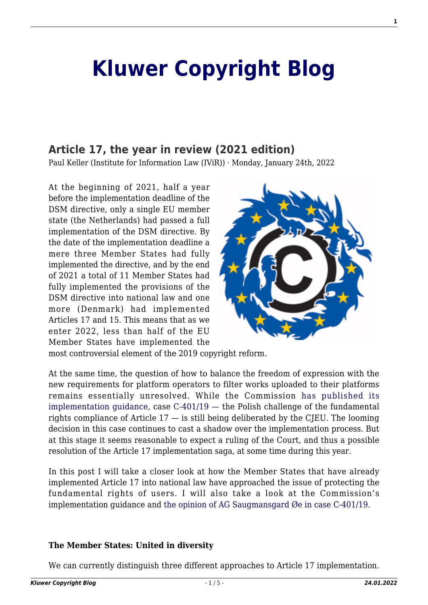# **[Kluwer Copyright Blog](http://copyrightblog.kluweriplaw.com/)**

## **[Article 17, the year in review \(2021 edition\)](http://copyrightblog.kluweriplaw.com/2022/01/24/article-17-the-year-in-review-2021-edition/)**

Paul Keller (Institute for Information Law (IViR)) · Monday, January 24th, 2022

At the beginning of 2021, half a year before the implementation deadline of the DSM directive, only a single EU member state (the Netherlands) had passed a full implementation of the DSM directive. By the date of the implementation deadline a mere three Member States had fully implemented the directive, and by the end of 2021 a total of 11 Member States had fully implemented the provisions of the DSM directive into national law and one more (Denmark) had implemented Articles 17 and 15. This means that as we enter 2022, less than half of the EU Member States have implemented the



most controversial element of the 2019 copyright reform.

At the same time, the question of how to balance the freedom of expression with the new requirements for platform operators to filter works uploaded to their platforms remains essentially unresolved. While the Commission [has published its](https://eur-lex.europa.eu/legal-content/EN/TXT/?qid=1625142238402&uri=CELEX%3A52021DC0288) [implementation guidance,](https://eur-lex.europa.eu/legal-content/EN/TXT/?qid=1625142238402&uri=CELEX%3A52021DC0288) case [C-401/19](https://curia.europa.eu/juris/document/document.jsf?docid=216823&doclang=EN) — the Polish challenge of the fundamental rights compliance of Article  $17 -$  is still being deliberated by the CJEU. The looming decision in this case continues to cast a shadow over the implementation process. But at this stage it seems reasonable to expect a ruling of the Court, and thus a possible resolution of the Article 17 implementation saga, at some time during this year.

In this post I will take a closer look at how the Member States that have already implemented Article 17 into national law have approached the issue of protecting the fundamental rights of users. I will also take a look at the Commission's implementation guidance and [the opinion of AG Saugmansgard Øe in case C-401/19.](https://curia.europa.eu/juris/document/document.jsf?text=&docid=244201&pageIndex=0&doclang=EN&mode=lst&dir=&occ=first&part=1&cid=9010383)

#### **The Member States: United in diversity**

We can currently distinguish three different approaches to Article 17 implementation.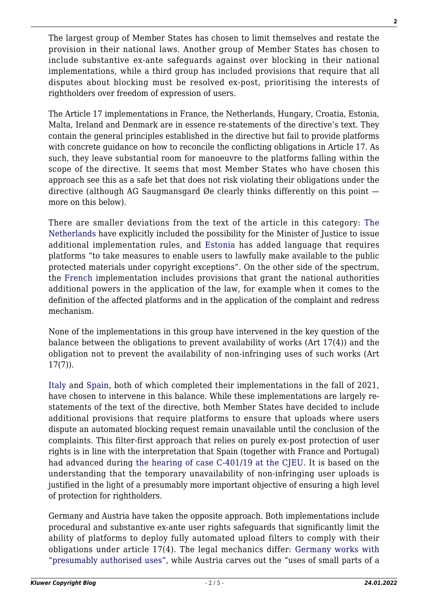The largest group of Member States has chosen to limit themselves and restate the provision in their national laws. Another group of Member States has chosen to include substantive ex-ante safeguards against over blocking in their national implementations, while a third group has included provisions that require that all disputes about blocking must be resolved ex-post, prioritising the interests of rightholders over freedom of expression of users.

The Article 17 implementations in France, the Netherlands, Hungary, Croatia, Estonia, Malta, Ireland and Denmark are in essence re-statements of the directive's text. They contain the general principles established in the directive but fail to provide platforms with concrete guidance on how to reconcile the conflicting obligations in Article 17. As such, they leave substantial room for manoeuvre to the platforms falling within the scope of the directive. It seems that most Member States who have chosen this approach see this as a safe bet that does not risk violating their obligations under the directive (although AG Saugmansgard  $\emptyset$ e clearly thinks differently on this point  $$ more on this below).

There are smaller deviations from the text of the article in this category: [The](https://eurovision.communia-association.org/detail/netherlands/) [Netherlands](https://eurovision.communia-association.org/detail/netherlands/) have explicitly included the possibility for the Minister of Justice to issue additional implementation rules, and [Estonia](https://eurovision.communia-association.org/detail/estonia/) has added language that requires platforms "to take measures to enable users to lawfully make available to the public protected materials under copyright exceptions". On the other side of the spectrum, the [French](https://eurovision.communia-association.org/detail/france/) implementation includes provisions that grant the national authorities additional powers in the application of the law, for example when it comes to the definition of the affected platforms and in the application of the complaint and redress mechanism.

None of the implementations in this group have intervened in the key question of the balance between the obligations to prevent availability of works (Art 17(4)) and the obligation not to prevent the availability of non-infringing uses of such works (Art 17(7)).

[Italy](https://eurovision.communia-association.org/detail/italy/) and [Spain](https://eurovision.communia-association.org/detail/spain/), both of which completed their implementations in the fall of 2021, have chosen to intervene in this balance. While these implementations are largely restatements of the text of the directive, both Member States have decided to include additional provisions that require platforms to ensure that uploads where users dispute an automated blocking request remain unavailable until the conclusion of the complaints. This filter-first approach that relies on purely ex-post protection of user rights is in line with the interpretation that Spain (together with France and Portugal) had advanced during [the hearing of case C-401/19 at the CJEU](https://www.communia-association.org/2020/11/12/cjeu-hearing-polish-challenge-article-17-not-even-supporters-provision-agree-work/). It is based on the understanding that the temporary unavailability of non-infringing user uploads is justified in the light of a presumably more important objective of ensuring a high level of protection for rightholders.

Germany and Austria have taken the opposite approach. Both implementations include procedural and substantive ex-ante user rights safeguards that significantly limit the ability of platforms to deploy fully automated upload filters to comply with their obligations under article 17(4). The legal mechanics differ: [Germany works with](http://copyrightblog.kluweriplaw.com/2021/06/02/germany-attempts-to-square-the-circle-in-its-implementation-of-article-17-cdsmd-part-1/) ["presumably authorised uses",](http://copyrightblog.kluweriplaw.com/2021/06/02/germany-attempts-to-square-the-circle-in-its-implementation-of-article-17-cdsmd-part-1/) while Austria carves out the "uses of small parts of a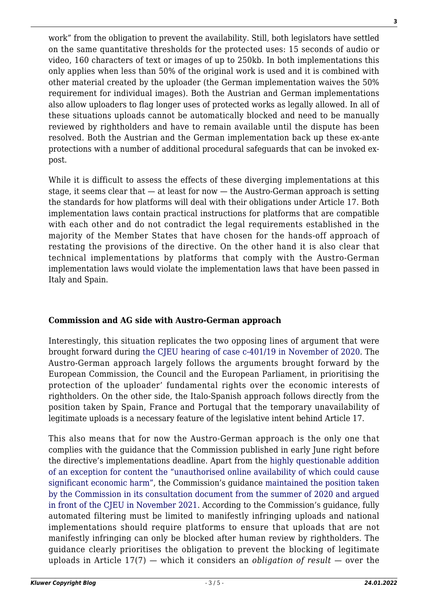work" from the obligation to prevent the availability. Still, both legislators have settled on the same quantitative thresholds for the protected uses: 15 seconds of audio or video, 160 characters of text or images of up to 250kb. In both implementations this only applies when less than 50% of the original work is used and it is combined with other material created by the uploader (the German implementation waives the 50% requirement for individual images). Both the Austrian and German implementations also allow uploaders to flag longer uses of protected works as legally allowed. In all of these situations uploads cannot be automatically blocked and need to be manually reviewed by rightholders and have to remain available until the dispute has been resolved. Both the Austrian and the German implementation back up these ex-ante protections with a number of additional procedural safeguards that can be invoked expost.

While it is difficult to assess the effects of these diverging implementations at this stage, it seems clear that — at least for now — the Austro-German approach is setting the standards for how platforms will deal with their obligations under Article 17. Both implementation laws contain practical instructions for platforms that are compatible with each other and do not contradict the legal requirements established in the majority of the Member States that have chosen for the hands-off approach of restating the provisions of the directive. On the other hand it is also clear that technical implementations by platforms that comply with the Austro-German implementation laws would violate the implementation laws that have been passed in Italy and Spain.

## **Commission and AG side with Austro-German approach**

Interestingly, this situation replicates the two opposing lines of argument that were brought forward during [the CJEU hearing of case c-401/19 in November of 2020.](https://www.communia-association.org/2020/11/12/cjeu-hearing-polish-challenge-article-17-not-even-supporters-provision-agree-work/) The Austro-German approach largely follows the arguments brought forward by the European Commission, the Council and the European Parliament, in prioritising the protection of the uploader' fundamental rights over the economic interests of rightholders. On the other side, the Italo-Spanish approach follows directly from the position taken by Spain, France and Portugal that the temporary unavailability of legitimate uploads is a necessary feature of the legislative intent behind Article 17.

This also means that for now the Austro-German approach is the only one that complies with the guidance that the Commission published in early June right before the directive's implementations deadline. Apart from the [highly questionable addition](http://copyrightblog.kluweriplaw.com/2021/06/04/european-commission-back-tracks-on-user-rights-in-article-17-guidance/) [of an exception for content the "unauthorised online availability of which could cause](http://copyrightblog.kluweriplaw.com/2021/06/04/european-commission-back-tracks-on-user-rights-in-article-17-guidance/) [significant economic harm",](http://copyrightblog.kluweriplaw.com/2021/06/04/european-commission-back-tracks-on-user-rights-in-article-17-guidance/) the Commission's guidance [maintained the position taken](https://www.communia-association.org/2021/06/04/a-closer-look-at-the-final-commission-guidance-on-the-application-of-article-17/) [by the Commission in its consultation document from the summer of 2020 and argued](https://www.communia-association.org/2021/06/04/a-closer-look-at-the-final-commission-guidance-on-the-application-of-article-17/) [in front of the CJEU in November 2021.](https://www.communia-association.org/2021/06/04/a-closer-look-at-the-final-commission-guidance-on-the-application-of-article-17/) According to the Commission's guidance, fully automated filtering must be limited to manifestly infringing uploads and national implementations should require platforms to ensure that uploads that are not manifestly infringing can only be blocked after human review by rightholders. The guidance clearly prioritises the obligation to prevent the blocking of legitimate uploads in Article 17(7) — which it considers an *obligation of result* — over the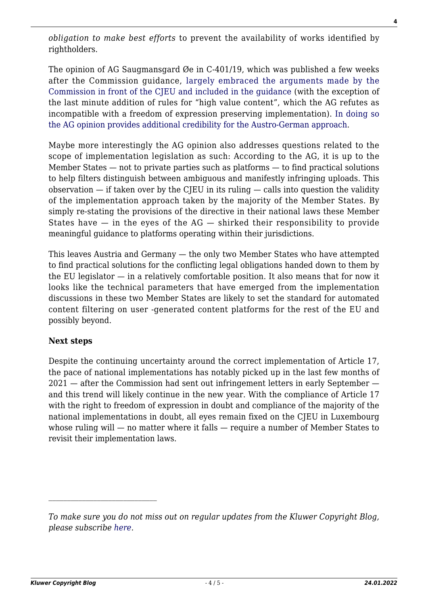*obligation to make best efforts* to prevent the availability of works identified by rightholders.

The opinion of AG Saugmansgard Øe in C-401/19, which was published a few weeks after the Commission guidance, [largely embraced the arguments made by the](https://www.communia-association.org/2021/07/19/a-look-at-the-ag-opinion-on-article-17/) [Commission in front of the CJEU and included in the guidance](https://www.communia-association.org/2021/07/19/a-look-at-the-ag-opinion-on-article-17/) (with the exception of the last minute addition of rules for "high value content", which the AG refutes as incompatible with a freedom of expression preserving implementation). [In doing so](http://copyrightblog.kluweriplaw.com/2021/07/26/what-member-states-can-learn-from-the-ag-opinion-on-article-17/) [the AG opinion provides additional credibility for the Austro-German approach.](http://copyrightblog.kluweriplaw.com/2021/07/26/what-member-states-can-learn-from-the-ag-opinion-on-article-17/)

Maybe more interestingly the AG opinion also addresses questions related to the scope of implementation legislation as such: According to the AG, it is up to the Member States — not to private parties such as platforms — to find practical solutions to help filters distinguish between ambiguous and manifestly infringing uploads. This observation  $-$  if taken over by the CJEU in its ruling  $-$  calls into question the validity of the implementation approach taken by the majority of the Member States. By simply re-stating the provisions of the directive in their national laws these Member States have  $-$  in the eyes of the AG  $-$  shirked their responsibility to provide meaningful guidance to platforms operating within their jurisdictions.

This leaves Austria and Germany — the only two Member States who have attempted to find practical solutions for the conflicting legal obligations handed down to them by the EU legislator — in a relatively comfortable position. It also means that for now it looks like the technical parameters that have emerged from the implementation discussions in these two Member States are likely to set the standard for automated content filtering on user -generated content platforms for the rest of the EU and possibly beyond.

#### **Next steps**

Despite the continuing uncertainty around the correct implementation of Article 17, the pace of national implementations has notably picked up in the last few months of 2021 — after the Commission had sent out infringement letters in early September and this trend will likely continue in the new year. With the compliance of Article 17 with the right to freedom of expression in doubt and compliance of the majority of the national implementations in doubt, all eyes remain fixed on the CJEU in Luxembourg whose ruling will — no matter where it falls — require a number of Member States to revisit their implementation laws.

*To make sure you do not miss out on regular updates from the Kluwer Copyright Blog, please subscribe [here.](http://copyrightblog.kluweriplaw.com/newsletter)*